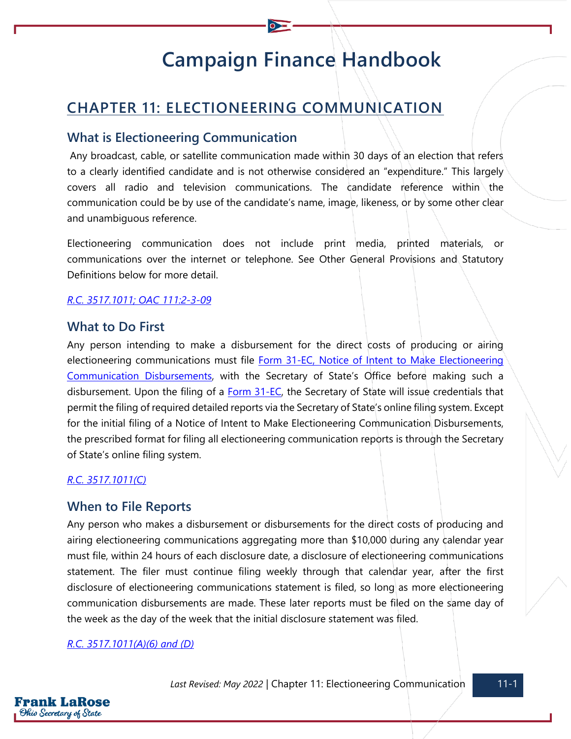# **Campaign Finance Handbook**

# **CHAPTER 11: ELECTIONEERING COMMUNICATION**

## **What is Electioneering Communication**

Any broadcast, cable, or satellite communication made within 30 days of an election that refers to a clearly identified candidate and is not otherwise considered an "expenditure." This largely covers all radio and television communications. The candidate reference within the communication could be by use of the candidate's name, image, likeness, or by some other clear and unambiguous reference.

Electioneering communication does not include print media, printed materials, or communications over the internet or telephone. See Other General Provisions and Statutory Definitions below for more detail.

#### *[R.C. 3517.1011;](https://codes.ohio.gov/ohio-revised-code/section-3517.1011) [OAC 111:2-3-09](https://codes.ohio.gov/ohio-administrative-code/rule-111:2-3-09)*

## **What to Do First**

Any person intending to make a disbursement for the direct costs of producing or airing electioneering communications must file [Form 31-EC, Notice of Intent to Make Electioneering](https://www.ohiosos.gov/globalassets/candidates/forms/31ec.pdf)  [Communication Disbursements,](https://www.ohiosos.gov/globalassets/candidates/forms/31ec.pdf) with the Secretary of State's Office before making such a disbursement. Upon the filing of a [Form 31-EC,](https://www.ohiosos.gov/globalassets/candidates/forms/31ec.pdf) the Secretary of State will issue credentials that permit the filing of required detailed reports via the Secretary of State's online filing system. Except for the initial filing of a Notice of Intent to Make Electioneering Communication Disbursements, the prescribed format for filing all electioneering communication reports is through the Secretary of State's online filing system.

#### *[R.C. 3517.1011\(C\)](https://codes.ohio.gov/ohio-revised-code/section-3517.1011)*

## **When to File Reports**

Any person who makes a disbursement or disbursements for the direct costs of producing and airing electioneering communications aggregating more than \$10,000 during any calendar year must file, within 24 hours of each disclosure date, a disclosure of electioneering communications statement. The filer must continue filing weekly through that calendar year, after the first disclosure of electioneering communications statement is filed, so long as more electioneering communication disbursements are made. These later reports must be filed on the same day of the week as the day of the week that the initial disclosure statement was filed.

#### *[R.C. 3517.1011\(A\)\(6\) and \(D\)](https://codes.ohio.gov/ohio-revised-code/section-3517.1011)*

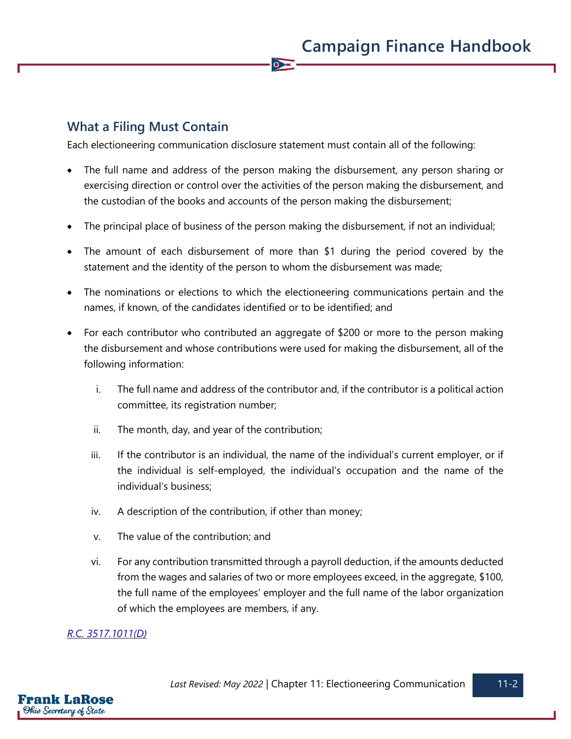# **What a Filing Must Contain**

Each electioneering communication disclosure statement must contain all of the following:

 $\overline{\bullet}$ 

- The full name and address of the person making the disbursement, any person sharing or exercising direction or control over the activities of the person making the disbursement, and the custodian of the books and accounts of the person making the disbursement;
- The principal place of business of the person making the disbursement, if not an individual;
- The amount of each disbursement of more than \$1 during the period covered by the statement and the identity of the person to whom the disbursement was made;
- The nominations or elections to which the electioneering communications pertain and the names, if known, of the candidates identified or to be identified; and
- For each contributor who contributed an aggregate of \$200 or more to the person making the disbursement and whose contributions were used for making the disbursement, all of the following information:
	- i. The full name and address of the contributor and, if the contributor is a political action committee, its registration number;
	- ii. The month, day, and year of the contribution;
	- iii. If the contributor is an individual, the name of the individual's current employer, or if the individual is self-employed, the individual's occupation and the name of the individual's business;
	- iv. A description of the contribution, if other than money;
	- v. The value of the contribution; and
	- vi. For any contribution transmitted through a payroll deduction, if the amounts deducted from the wages and salaries of two or more employees exceed, in the aggregate, \$100, the full name of the employees' employer and the full name of the labor organization of which the employees are members, if any.

#### *[R.C. 3517.1011\(D\)](https://codes.ohio.gov/ohio-revised-code/section-3517.1011)*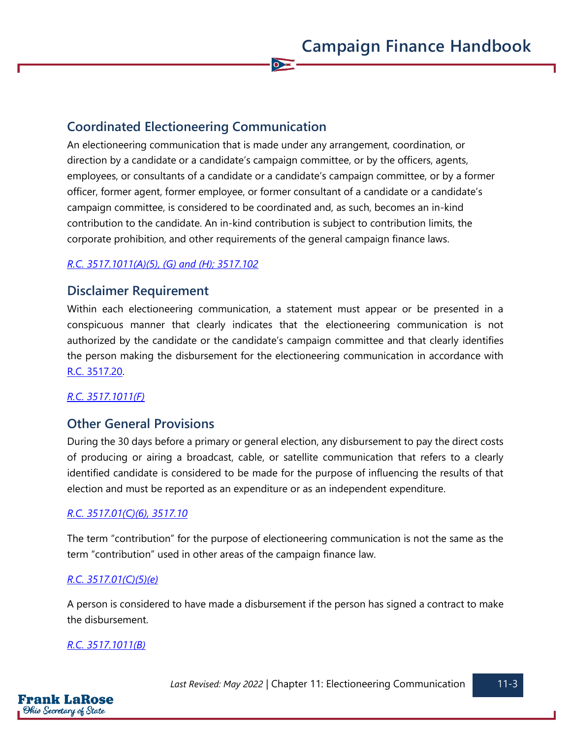## **Coordinated Electioneering Communication**

An electioneering communication that is made under any arrangement, coordination, or direction by a candidate or a candidate's campaign committee, or by the officers, agents, employees, or consultants of a candidate or a candidate's campaign committee, or by a former officer, former agent, former employee, or former consultant of a candidate or a candidate's campaign committee, is considered to be coordinated and, as such, becomes an in-kind contribution to the candidate. An in-kind contribution is subject to contribution limits, the corporate prohibition, and other requirements of the general campaign finance laws.

 $\bullet$ 

#### *[R.C. 3517.1011\(A\)\(5\), \(G\) and \(H\);](https://codes.ohio.gov/ohio-revised-code/section-3517.1011) [3517.102](https://codes.ohio.gov/ohio-revised-code/section-3517.102)*

#### **Disclaimer Requirement**

Within each electioneering communication, a statement must appear or be presented in a conspicuous manner that clearly indicates that the electioneering communication is not authorized by the candidate or the candidate's campaign committee and that clearly identifies the person making the disbursement for the electioneering communication in accordance with [R.C. 3517.20.](https://codes.ohio.gov/ohio-revised-code/section-3517.20)

#### *[R.C. 3517.1011\(F\)](https://codes.ohio.gov/ohio-revised-code/section-3517.1011)*

## **Other General Provisions**

During the 30 days before a primary or general election, any disbursement to pay the direct costs of producing or airing a broadcast, cable, or satellite communication that refers to a clearly identified candidate is considered to be made for the purpose of influencing the results of that election and must be reported as an expenditure or as an independent expenditure.

#### *[R.C. 3517.01\(C\)\(6\),](https://codes.ohio.gov/ohio-revised-code/section-3517.01) [3517.10](https://codes.ohio.gov/ohio-revised-code/section-3517.10)*

The term "contribution" for the purpose of electioneering communication is not the same as the term "contribution" used in other areas of the campaign finance law.

#### *[R.C. 3517.01\(C\)\(5\)\(e\)](https://codes.ohio.gov/ohio-revised-code/section-3517.01)*

A person is considered to have made a disbursement if the person has signed a contract to make the disbursement.

#### *[R.C. 3517.1011\(B\)](https://codes.ohio.gov/ohio-revised-code/section-3517.1011)*

*Last Revised: May 2022* | Chapter 11: Electioneering Communication 11-3

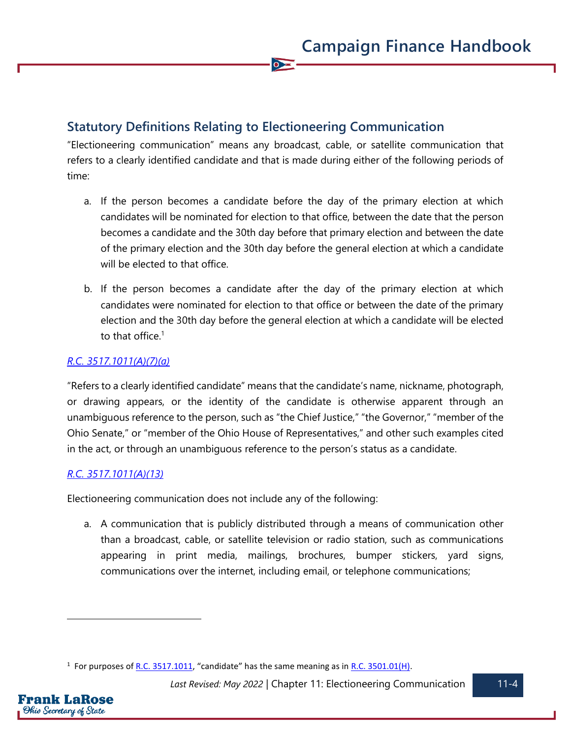# **Statutory Definitions Relating to Electioneering Communication**

"Electioneering communication" means any broadcast, cable, or satellite communication that refers to a clearly identified candidate and that is made during either of the following periods of time:

 $\overline{\bullet}$ 

- a. If the person becomes a candidate before the day of the primary election at which candidates will be nominated for election to that office, between the date that the person becomes a candidate and the 30th day before that primary election and between the date of the primary election and the 30th day before the general election at which a candidate will be elected to that office.
- b. If the person becomes a candidate after the day of the primary election at which candidates were nominated for election to that office or between the date of the primary election and the 30th day before the general election at which a candidate will be elected to that office.<sup>1</sup>

## *[R.C. 3517.1011\(A\)\(7\)\(a\)](https://codes.ohio.gov/ohio-revised-code/section-3517.1011)*

"Refers to a clearly identified candidate" means that the candidate's name, nickname, photograph, or drawing appears, or the identity of the candidate is otherwise apparent through an unambiguous reference to the person, such as "the Chief Justice," "the Governor," "member of the Ohio Senate," or "member of the Ohio House of Representatives," and other such examples cited in the act, or through an unambiguous reference to the person's status as a candidate.

#### *[R.C. 3517.1011\(A\)\(13\)](https://codes.ohio.gov/ohio-revised-code/section-3517.1011)*

Electioneering communication does not include any of the following:

a. A communication that is publicly distributed through a means of communication other than a broadcast, cable, or satellite television or radio station, such as communications appearing in print media, mailings, brochures, bumper stickers, yard signs, communications over the internet, including email, or telephone communications;

<sup>&</sup>lt;sup>1</sup> For purposes of <u>R.C. 3517.1011</u>, "candidate" has the same meaning as in <u>R.C. 3501.01(H)</u>.